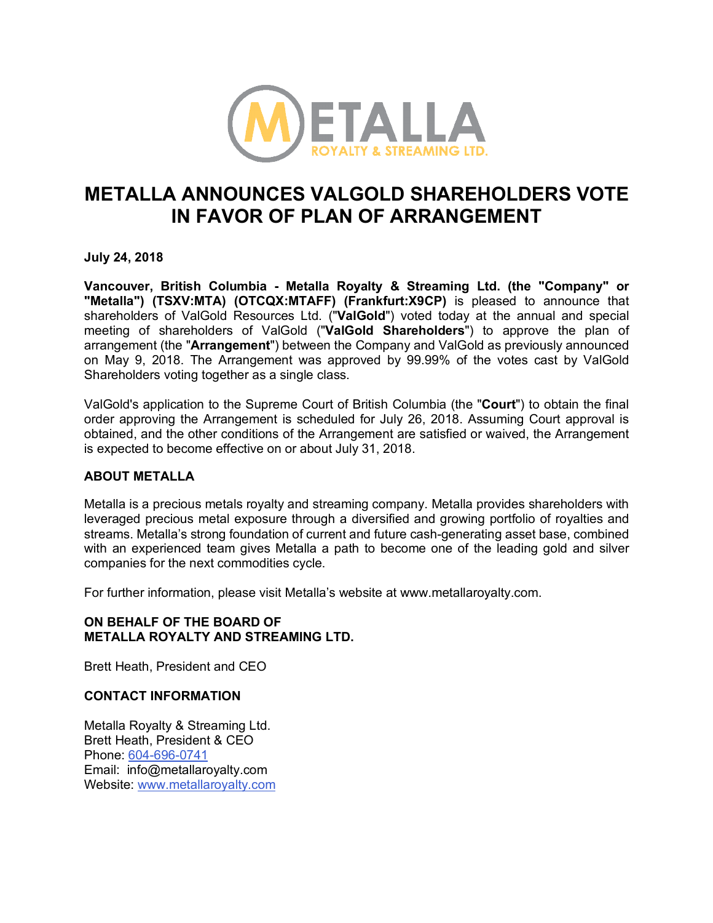

# **METALLA ANNOUNCES VALGOLD SHAREHOLDERS VOTE IN FAVOR OF PLAN OF ARRANGEMENT**

**July 24, 2018**

**Vancouver, British Columbia - Metalla Royalty & Streaming Ltd. (the "Company" or "Metalla") (TSXV:MTA) (OTCQX:MTAFF) (Frankfurt:X9CP)** is pleased to announce that shareholders of ValGold Resources Ltd. ("**ValGold**") voted today at the annual and special meeting of shareholders of ValGold ("**ValGold Shareholders**") to approve the plan of arrangement (the "**Arrangement**") between the Company and ValGold as previously announced on May 9, 2018. The Arrangement was approved by 99.99% of the votes cast by ValGold Shareholders voting together as a single class.

ValGold's application to the Supreme Court of British Columbia (the "**Court**") to obtain the final order approving the Arrangement is scheduled for July 26, 2018. Assuming Court approval is obtained, and the other conditions of the Arrangement are satisfied or waived, the Arrangement is expected to become effective on or about July 31, 2018.

## **ABOUT METALLA**

Metalla is a precious metals royalty and streaming company. Metalla provides shareholders with leveraged precious metal exposure through a diversified and growing portfolio of royalties and streams. Metalla's strong foundation of current and future cash-generating asset base, combined with an experienced team gives Metalla a path to become one of the leading gold and silver companies for the next commodities cycle.

For further information, please visit Metalla's website at www.metallaroyalty.com.

# **ON BEHALF OF THE BOARD OF METALLA ROYALTY AND STREAMING LTD.**

Brett Heath, President and CEO

## **CONTACT INFORMATION**

Metalla Royalty & Streaming Ltd. Brett Heath, President & CEO Phone: 604-696-0741 Email: info@metallaroyalty.com Website: www.metallaroyalty.com